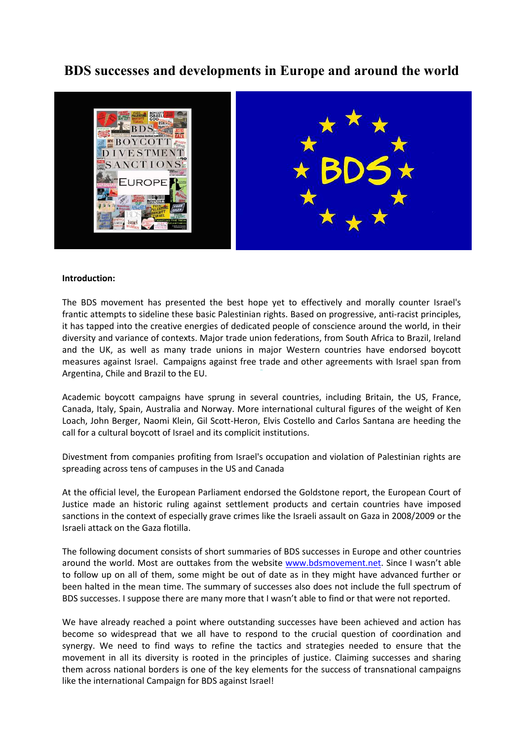# **BDS successes and developments in Europe and around the world**



#### **Introduction:**

The BDS movement has presented the best hope yet to effectively and morally counter Israel's frantic attempts to sideline these basic Palestinian rights. Based on progressive, anti-racist principles, it has tapped into the creative energies of dedicated people of conscience around the world, in their diversity and variance of contexts. Major trade union federations, from South Africa to Brazil, Ireland and the UK, as well as many trade unions in major Western countries have endorsed boycott measures against Israel. Campaigns against free trade and other agreements with Israel span from Argentina, Chile and Brazil to the EU.

Academic boycott campaigns have sprung in several countries, including Britain, the US, France, Canada, Italy, Spain, Australia and Norway. More international cultural figures of the weight of Ken Loach, John Berger, Naomi Klein, Gil Scott-Heron, Elvis Costello and Carlos Santana are heeding the call for a cultural boycott of Israel and its complicit institutions.

Divestment from companies profiting from Israel's occupation and violation of Palestinian rights are spreading across tens of campuses in the US and Canada

At the official level, the European Parliament endorsed the Goldstone report, the European Court of Justice made an historic ruling against settlement products and certain countries have imposed sanctions in the context of especially grave crimes like the Israeli assault on Gaza in 2008/2009 or the Israeli attack on the Gaza flotilla.

The following document consists of short summaries of BDS successes in Europe and other countries around the world. Most are outtakes from the website www.bdsmovement.net. Since I wasn't able to follow up on all of them, some might be out of date as in they might have advanced further or been halted in the mean time. The summary of successes also does not include the full spectrum of BDS successes. I suppose there are many more that I wasn't able to find or that were not reported.

We have already reached a point where outstanding successes have been achieved and action has become so widespread that we all have to respond to the crucial question of coordination and synergy. We need to find ways to refine the tactics and strategies needed to ensure that the movement in all its diversity is rooted in the principles of justice. Claiming successes and sharing them across national borders is one of the key elements for the success of transnational campaigns like the international Campaign for BDS against Israel!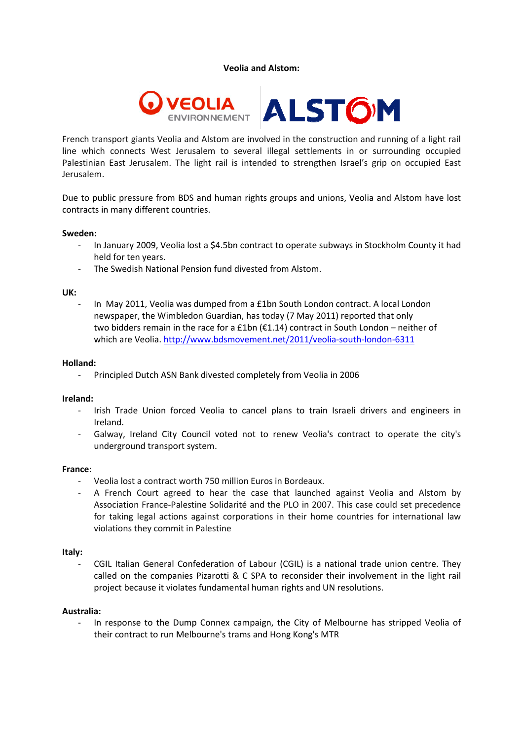**Veolia and Alstom:** 



French transport giants Veolia and Alstom are involved in the construction and running of a light rail line which connects West Jerusalem to several illegal settlements in or surrounding occupied Palestinian East Jerusalem. The light rail is intended to strengthen Israel's grip on occupied East Jerusalem.

Due to public pressure from BDS and human rights groups and unions, Veolia and Alstom have lost contracts in many different countries.

#### **Sweden:**

- In January 2009, Veolia lost a \$4.5bn contract to operate subways in Stockholm County it had held for ten years.
- The Swedish National Pension fund divested from Alstom.

#### **UK:**

In May 2011, Veolia was dumped from a £1bn South London contract. A local London newspaper, the Wimbledon Guardian, has today (7 May 2011) reported that only two bidders remain in the race for a £1bn (€1.14) contract in South London – neither of which are Veolia. http://www.bdsmovement.net/2011/veolia-south-london-6311

#### **Holland:**

- Principled Dutch ASN Bank divested completely from Veolia in 2006

## **Ireland:**

- Irish Trade Union forced Veolia to cancel plans to train Israeli drivers and engineers in Ireland.
- Galway, Ireland City Council voted not to renew Veolia's contract to operate the city's underground transport system.

#### **France**:

- Veolia lost a contract worth 750 million Euros in Bordeaux.
- A French Court agreed to hear the case that launched against Veolia and Alstom by Association France-Palestine Solidarité and the PLO in 2007. This case could set precedence for taking legal actions against corporations in their home countries for international law violations they commit in Palestine

## **Italy:**

- CGIL Italian General Confederation of Labour (CGIL) is a national trade union centre. They called on the companies Pizarotti & C SPA to reconsider their involvement in the light rail project because it violates fundamental human rights and UN resolutions.

#### **Australia:**

- In response to the Dump Connex campaign, the City of Melbourne has stripped Veolia of their contract to run Melbourne's trams and Hong Kong's MTR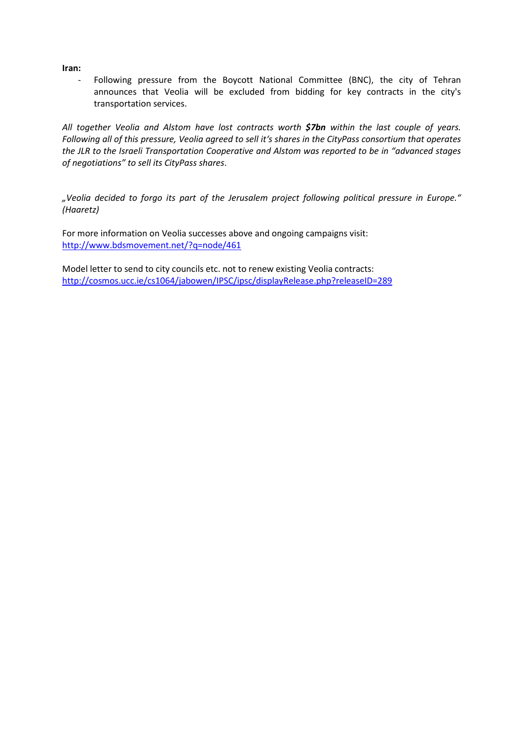**Iran:**

Following pressure from the Boycott National Committee (BNC), the city of Tehran announces that Veolia will be excluded from bidding for key contracts in the city's transportation services.

*All together Veolia and Alstom have lost contracts worth \$7bn within the last couple of years. Following all of this pressure, Veolia agreed to sell it's shares in the CityPass consortium that operates the JLR to the Israeli Transportation Cooperative and Alstom was reported to be in "advanced stages of negotiations" to sell its CityPass shares*.

*"Veolia decided to forgo its part of the Jerusalem project following political pressure in Europe." (Haaretz)* 

For more information on Veolia successes above and ongoing campaigns visit: http://www.bdsmovement.net/?q=node/461

Model letter to send to city councils etc. not to renew existing Veolia contracts: http://cosmos.ucc.ie/cs1064/jabowen/IPSC/ipsc/displayRelease.php?releaseID=289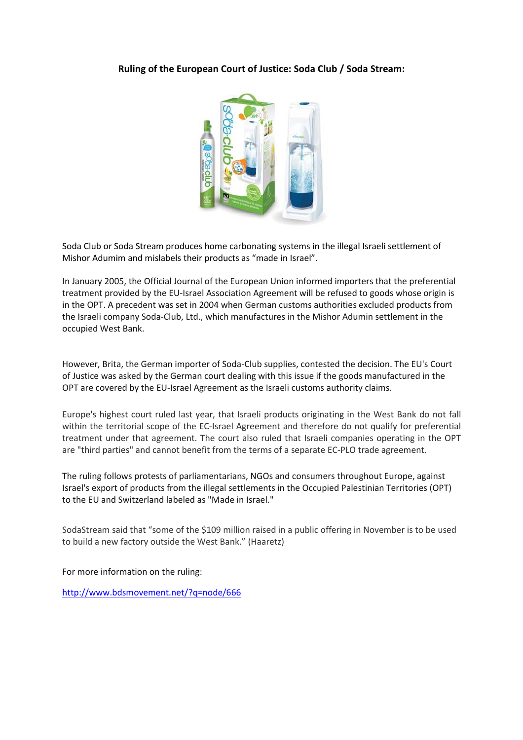# **Ruling of the European Court of Justice: Soda Club / Soda Stream:**



Soda Club or Soda Stream produces home carbonating systems in the illegal Israeli settlement of Mishor Adumim and mislabels their products as "made in Israel".

In January 2005, the Official Journal of the European Union informed importers that the preferential treatment provided by the EU-Israel Association Agreement will be refused to goods whose origin is in the OPT. A precedent was set in 2004 when German customs authorities excluded products from the Israeli company Soda-Club, Ltd., which manufactures in the Mishor Adumin settlement in the occupied West Bank.

However, Brita, the German importer of Soda-Club supplies, contested the decision. The EU's Court of Justice was asked by the German court dealing with this issue if the goods manufactured in the OPT are covered by the EU-Israel Agreement as the Israeli customs authority claims.

Europe's highest court ruled last year, that Israeli products originating in the West Bank do not fall within the territorial scope of the EC-Israel Agreement and therefore do not qualify for preferential treatment under that agreement. The court also ruled that Israeli companies operating in the OPT are "third parties" and cannot benefit from the terms of a separate EC-PLO trade agreement.

The ruling follows protests of parliamentarians, NGOs and consumers throughout Europe, against Israel's export of products from the illegal settlements in the Occupied Palestinian Territories (OPT) to the EU and Switzerland labeled as "Made in Israel."

SodaStream said that "some of the \$109 million raised in a public offering in November is to be used to build a new factory outside the West Bank." (Haaretz)

For more information on the ruling:

http://www.bdsmovement.net/?q=node/666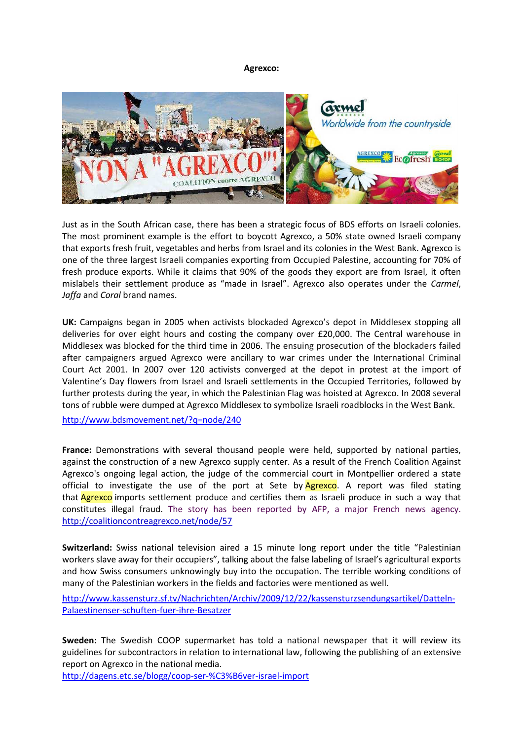**Agrexco:** 



Just as in the South African case, there has been a strategic focus of BDS efforts on Israeli colonies. The most prominent example is the effort to boycott Agrexco, a 50% state owned Israeli company that exports fresh fruit, vegetables and herbs from Israel and its colonies in the West Bank. Agrexco is one of the three largest Israeli companies exporting from Occupied Palestine, accounting for 70% of fresh produce exports. While it claims that 90% of the goods they export are from Israel, it often mislabels their settlement produce as "made in Israel". Agrexco also operates under the *Carmel*, *Jaffa* and *Coral* brand names.

**UK:** Campaigns began in 2005 when activists blockaded Agrexco's depot in Middlesex stopping all deliveries for over eight hours and costing the company over £20,000. The Central warehouse in Middlesex was blocked for the third time in 2006. The ensuing prosecution of the blockaders failed after campaigners argued Agrexco were ancillary to war crimes under the International Criminal Court Act 2001. In 2007 over 120 activists converged at the depot in protest at the import of Valentine's Day flowers from Israel and Israeli settlements in the Occupied Territories, followed by further protests during the year, in which the Palestinian Flag was hoisted at Agrexco. In 2008 several tons of rubble were dumped at Agrexco Middlesex to symbolize Israeli roadblocks in the West Bank.

http://www.bdsmovement.net/?q=node/240

**France:** Demonstrations with several thousand people were held, supported by national parties, against the construction of a new Agrexco supply center. As a result of the French Coalition Against Agrexco's ongoing legal action, the judge of the commercial court in Montpellier ordered a state official to investigate the use of the port at Sete by  $A$ grexco. A report was filed stating that **Agrexco** imports settlement produce and certifies them as Israeli produce in such a way that constitutes illegal fraud. The story has been reported by AFP, a major French news agency. http://coalitioncontreagrexco.net/node/57

**Switzerland:** Swiss national television aired a 15 minute long report under the title "Palestinian workers slave away for their occupiers", talking about the false labeling of Israel's agricultural exports and how Swiss consumers unknowingly buy into the occupation. The terrible working conditions of many of the Palestinian workers in the fields and factories were mentioned as well.

http://www.kassensturz.sf.tv/Nachrichten/Archiv/2009/12/22/kassensturzsendungsartikel/Datteln-Palaestinenser-schuften-fuer-ihre-Besatzer

**Sweden:** The Swedish COOP supermarket has told a national newspaper that it will review its guidelines for subcontractors in relation to international law, following the publishing of an extensive report on Agrexco in the national media.

http://dagens.etc.se/blogg/coop-ser-%C3%B6ver-israel-import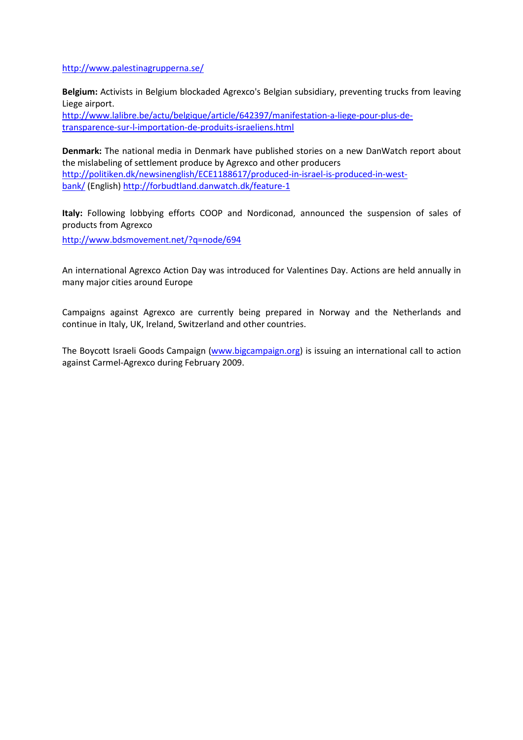http://www.palestinagrupperna.se/

**Belgium:** Activists in Belgium blockaded Agrexco's Belgian subsidiary, preventing trucks from leaving Liege airport.

http://www.lalibre.be/actu/belgique/article/642397/manifestation-a-liege-pour-plus-detransparence-sur-l-importation-de-produits-israeliens.html

**Denmark:** The national media in Denmark have published stories on a new DanWatch report about the mislabeling of settlement produce by Agrexco and other producers http://politiken.dk/newsinenglish/ECE1188617/produced-in-israel-is-produced-in-westbank/ (English) http://forbudtland.danwatch.dk/feature-1

**Italy:** Following lobbying efforts COOP and Nordiconad, announced the suspension of sales of products from Agrexco

http://www.bdsmovement.net/?q=node/694

An international Agrexco Action Day was introduced for Valentines Day. Actions are held annually in many major cities around Europe

Campaigns against Agrexco are currently being prepared in Norway and the Netherlands and continue in Italy, UK, Ireland, Switzerland and other countries.

The Boycott Israeli Goods Campaign (www.bigcampaign.org) is issuing an international call to action against Carmel-Agrexco during February 2009.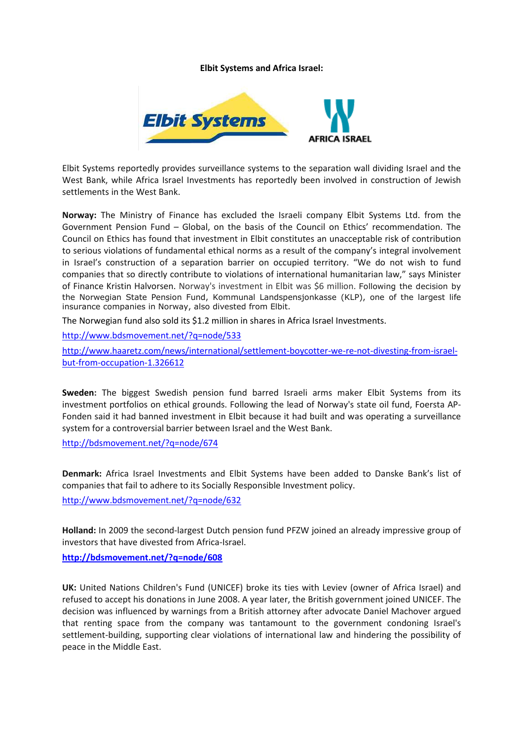## **Elbit Systems and Africa Israel:**



Elbit Systems reportedly provides surveillance systems to the separation wall dividing Israel and the West Bank, while Africa Israel Investments has reportedly been involved in construction of Jewish settlements in the West Bank.

**Norway:** The Ministry of Finance has excluded the Israeli company Elbit Systems Ltd. from the Government Pension Fund – Global, on the basis of the Council on Ethics' recommendation. The Council on Ethics has found that investment in Elbit constitutes an unacceptable risk of contribution to serious violations of fundamental ethical norms as a result of the company's integral involvement in Israel's construction of a separation barrier on occupied territory. "We do not wish to fund companies that so directly contribute to violations of international humanitarian law," says Minister of Finance Kristin Halvorsen. Norway's investment in Elbit was \$6 million. Following the decision by the Norwegian State Pension Fund, Kommunal Landspensjonkasse (KLP), one of the largest life insurance companies in Norway, also divested from Elbit.

The Norwegian fund also sold its \$1.2 million in shares in Africa Israel Investments.

http://www.bdsmovement.net/?q=node/533

http://www.haaretz.com/news/international/settlement-boycotter-we-re-not-divesting-from-israelbut-from-occupation-1.326612

**Sweden:** The biggest Swedish pension fund barred Israeli arms maker Elbit Systems from its investment portfolios on ethical grounds. Following the lead of Norway's state oil fund, Foersta AP-Fonden said it had banned investment in Elbit because it had built and was operating a surveillance system for a controversial barrier between Israel and the West Bank.

http://bdsmovement.net/?q=node/674

**Denmark:** Africa Israel Investments and Elbit Systems have been added to Danske Bank's list of companies that fail to adhere to its Socially Responsible Investment policy.

http://www.bdsmovement.net/?q=node/632

**Holland:** In 2009 the second-largest Dutch pension fund PFZW joined an already impressive group of investors that have divested from Africa-Israel.

**http://bdsmovement.net/?q=node/608**

**UK:** United Nations Children's Fund (UNICEF) broke its ties with Leviev (owner of Africa Israel) and refused to accept his donations in June 2008. A year later, the British government joined UNICEF. The decision was influenced by warnings from a British attorney after advocate Daniel Machover argued that renting space from the company was tantamount to the government condoning Israel's settlement-building, supporting clear violations of international law and hindering the possibility of peace in the Middle East.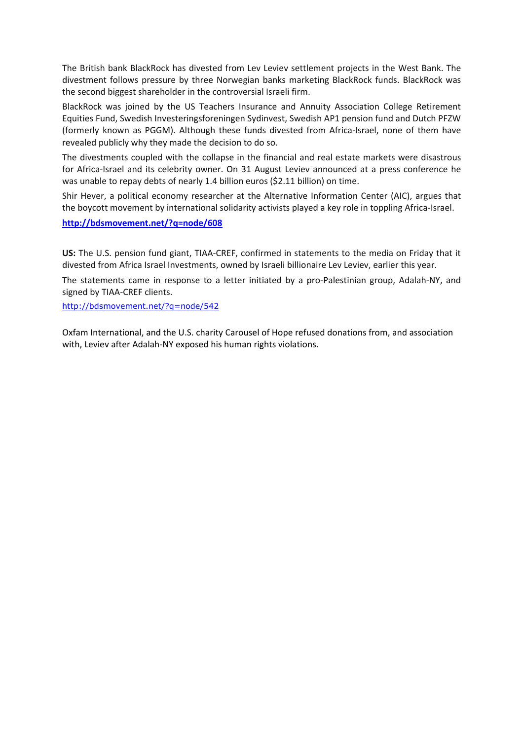The British bank BlackRock has divested from Lev Leviev settlement projects in the West Bank. The divestment follows pressure by three Norwegian banks marketing BlackRock funds. BlackRock was the second biggest shareholder in the controversial Israeli firm.

BlackRock was joined by the US Teachers Insurance and Annuity Association College Retirement Equities Fund, Swedish Investeringsforeningen Sydinvest, Swedish AP1 pension fund and Dutch PFZW (formerly known as PGGM). Although these funds divested from Africa-Israel, none of them have revealed publicly why they made the decision to do so.

The divestments coupled with the collapse in the financial and real estate markets were disastrous for Africa-Israel and its celebrity owner. On 31 August Leviev announced at a press conference he was unable to repay debts of nearly 1.4 billion euros (\$2.11 billion) on time.

Shir Hever, a political economy researcher at the Alternative Information Center (AIC), argues that the boycott movement by international solidarity activists played a key role in toppling Africa-Israel.

#### **http://bdsmovement.net/?q=node/608**

**US:** The U.S. pension fund giant, TIAA-CREF, confirmed in statements to the media on Friday that it divested from Africa Israel Investments, owned by Israeli billionaire Lev Leviev, earlier this year.

The statements came in response to a letter initiated by a pro-Palestinian group, Adalah-NY, and signed by TIAA-CREF clients.

http://bdsmovement.net/?q=node/542

Oxfam International, and the U.S. charity Carousel of Hope refused donations from, and association with, Leviev after Adalah-NY exposed his human rights violations.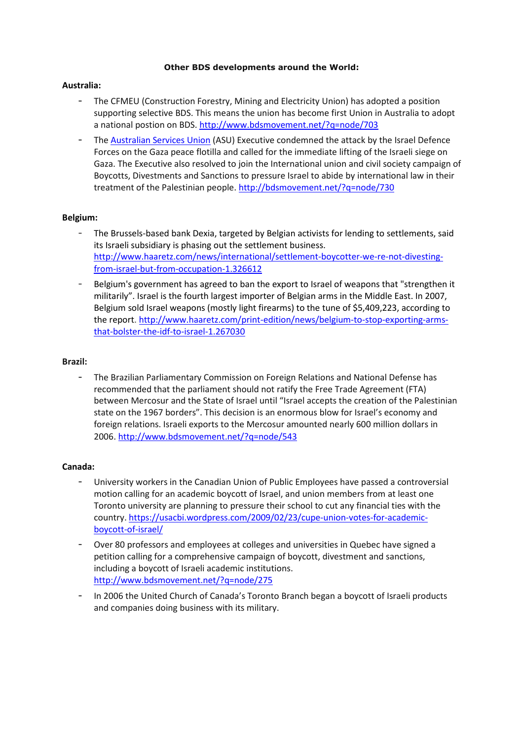#### **Other BDS developments around the World:**

# **Australia:**

- The CFMEU (Construction Forestry, Mining and Electricity Union) has adopted a position supporting selective BDS. This means the union has become first Union in Australia to adopt a national postion on BDS. http://www.bdsmovement.net/?q=node/703
- The Australian Services Union (ASU) Executive condemned the attack by the Israel Defence Forces on the Gaza peace flotilla and called for the immediate lifting of the Israeli siege on Gaza. The Executive also resolved to join the International union and civil society campaign of Boycotts, Divestments and Sanctions to pressure Israel to abide by international law in their treatment of the Palestinian people. http://bdsmovement.net/?q=node/730

# **Belgium:**

- The Brussels-based bank Dexia, targeted by Belgian activists for lending to settlements, said its Israeli subsidiary is phasing out the settlement business. http://www.haaretz.com/news/international/settlement-boycotter-we-re-not-divestingfrom-israel-but-from-occupation-1.326612
- Belgium's government has agreed to ban the export to Israel of weapons that "strengthen it militarily". Israel is the fourth largest importer of Belgian arms in the Middle East. In 2007, Belgium sold Israel weapons (mostly light firearms) to the tune of \$5,409,223, according to the report. http://www.haaretz.com/print-edition/news/belgium-to-stop-exporting-armsthat-bolster-the-idf-to-israel-1.267030

## **Brazil:**

- The Brazilian Parliamentary Commission on Foreign Relations and National Defense has recommended that the parliament should not ratify the Free Trade Agreement (FTA) between Mercosur and the State of Israel until "Israel accepts the creation of the Palestinian state on the 1967 borders". This decision is an enormous blow for Israel's economy and foreign relations. Israeli exports to the Mercosur amounted nearly 600 million dollars in 2006. http://www.bdsmovement.net/?q=node/543

## **Canada:**

- University workers in the Canadian Union of Public Employees have passed a controversial motion calling for an academic boycott of Israel, and union members from at least one Toronto university are planning to pressure their school to cut any financial ties with the country. https://usacbi.wordpress.com/2009/02/23/cupe-union-votes-for-academicboycott-of-israel/
- Over 80 professors and employees at colleges and universities in Quebec have signed a petition calling for a comprehensive campaign of boycott, divestment and sanctions, including a boycott of Israeli academic institutions. http://www.bdsmovement.net/?q=node/275
- In 2006 the United Church of Canada's Toronto Branch began a boycott of Israeli products and companies doing business with its military.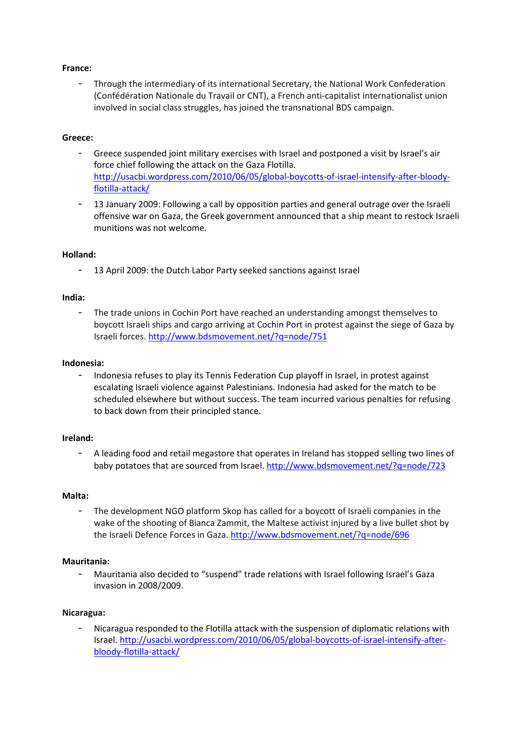# **France:**

- Through the intermediary of its international Secretary, the National Work Confederation (Confédération Nationale du Travail or CNT), a French anti-capitalist internationalist union involved in social class struggles, has joined the transnational BDS campaign.

# **Greece:**

- Greece suspended joint military exercises with Israel and postponed a visit by Israel's air force chief following the attack on the Gaza Flotilla. http://usacbi.wordpress.com/2010/06/05/global-boycotts-of-israel-intensify-after-bloodyflotilla-attack/
- 13 January 2009: Following a call by opposition parties and general outrage over the Israeli offensive war on Gaza, the Greek government announced that a ship meant to restock Israeli munitions was not welcome.

## **Holland:**

- 13 April 2009: the Dutch Labor Party seeked sanctions against Israel

## **India:**

- The trade unions in Cochin Port have reached an understanding amongst themselves to boycott Israeli ships and cargo arriving at Cochin Port in protest against the siege of Gaza by Israeli forces. http://www.bdsmovement.net/?q=node/751

## **Indonesia:**

- Indonesia refuses to play its Tennis Federation Cup playoff in Israel, in protest against escalating Israeli violence against Palestinians. Indonesia had asked for the match to be scheduled elsewhere but without success. The team incurred various penalties for refusing to back down from their principled stance.

## **Ireland:**

- A leading food and retail megastore that operates in Ireland has stopped selling two lines of baby potatoes that are sourced from Israel. http://www.bdsmovement.net/?q=node/723

## **Malta:**

The development NGO platform Skop has called for a boycott of Israeli companies in the wake of the shooting of Bianca Zammit, the Maltese activist injured by a live bullet shot by the Israeli Defence Forces in Gaza. http://www.bdsmovement.net/?q=node/696

# **Mauritania:**

- Mauritania also decided to "suspend" trade relations with Israel following Israel's Gaza invasion in 2008/2009.

## **Nicaragua:**

- Nicaragua responded to the Flotilla attack with the suspension of diplomatic relations with Israel. http://usacbi.wordpress.com/2010/06/05/global-boycotts-of-israel-intensify-afterbloody-flotilla-attack/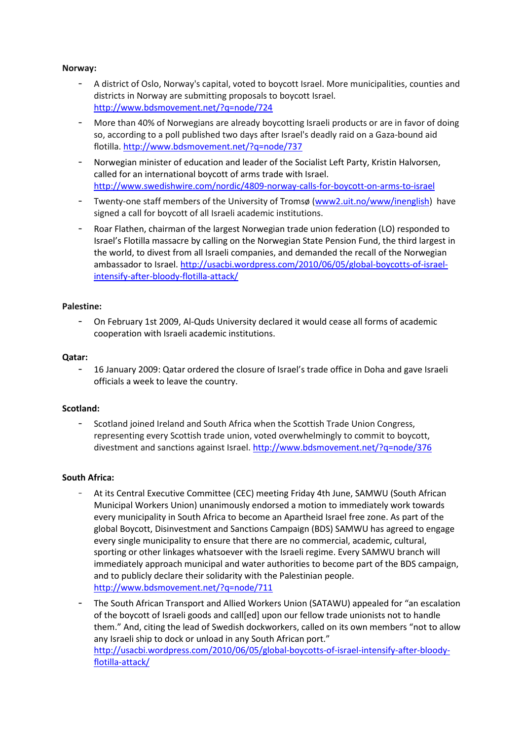# **Norway:**

- A district of Oslo, Norway's capital, voted to boycott Israel. More municipalities, counties and districts in Norway are submitting proposals to boycott Israel. http://www.bdsmovement.net/?q=node/724
- More than 40% of Norwegians are already boycotting Israeli products or are in favor of doing so, according to a poll published two days after Israel's deadly raid on a Gaza-bound aid flotilla. http://www.bdsmovement.net/?q=node/737
- Norwegian minister of education and leader of the Socialist Left Party, Kristin Halvorsen, called for an international boycott of arms trade with Israel. http://www.swedishwire.com/nordic/4809-norway-calls-for-boycott-on-arms-to-israel
- Twenty-one staff members of the University of Tromsø (www2.uit.no/www/inenglish) have signed a call for boycott of all Israeli academic institutions.
- Roar Flathen, chairman of the largest Norwegian trade union federation (LO) responded to Israel's Flotilla massacre by calling on the Norwegian State Pension Fund, the third largest in the world, to divest from all Israeli companies, and demanded the recall of the Norwegian ambassador to Israel. http://usacbi.wordpress.com/2010/06/05/global-boycotts-of-israelintensify-after-bloody-flotilla-attack/

## **Palestine:**

- On February 1st 2009, Al-Quds University declared it would cease all forms of academic cooperation with Israeli academic institutions.

## **Qatar:**

- 16 January 2009: Qatar ordered the closure of Israel's trade office in Doha and gave Israeli officials a week to leave the country.

## **Scotland:**

- Scotland joined Ireland and South Africa when the Scottish Trade Union Congress, representing every Scottish trade union, voted overwhelmingly to commit to boycott, divestment and sanctions against Israel. http://www.bdsmovement.net/?q=node/376

# **South Africa:**

- At its Central Executive Committee (CEC) meeting Friday 4th June, SAMWU (South African Municipal Workers Union) unanimously endorsed a motion to immediately work towards every municipality in South Africa to become an Apartheid Israel free zone. As part of the global Boycott, Disinvestment and Sanctions Campaign (BDS) SAMWU has agreed to engage every single municipality to ensure that there are no commercial, academic, cultural, sporting or other linkages whatsoever with the Israeli regime. Every SAMWU branch will immediately approach municipal and water authorities to become part of the BDS campaign, and to publicly declare their solidarity with the Palestinian people. http://www.bdsmovement.net/?q=node/711
- The South African Transport and Allied Workers Union (SATAWU) appealed for "an escalation of the boycott of Israeli goods and call[ed] upon our fellow trade unionists not to handle them." And, citing the lead of Swedish dockworkers, called on its own members "not to allow any Israeli ship to dock or unload in any South African port." http://usacbi.wordpress.com/2010/06/05/global-boycotts-of-israel-intensify-after-bloodyflotilla-attack/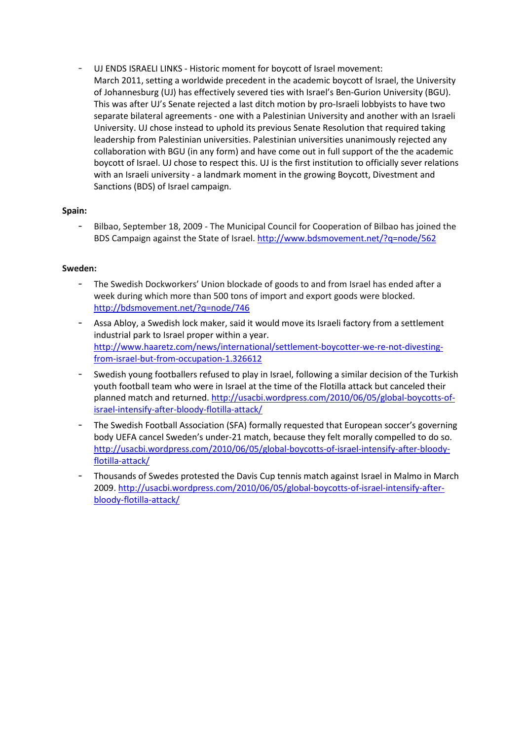UJ ENDS ISRAELI LINKS - Historic moment for boycott of Israel movement: March 2011, setting a worldwide precedent in the academic boycott of Israel, the University of Johannesburg (UJ) has effectively severed ties with Israel's Ben-Gurion University (BGU). This was after UJ's Senate rejected a last ditch motion by pro-Israeli lobbyists to have two separate bilateral agreements - one with a Palestinian University and another with an Israeli University. UJ chose instead to uphold its previous Senate Resolution that required taking leadership from Palestinian universities. Palestinian universities unanimously rejected any collaboration with BGU (in any form) and have come out in full support of the the academic boycott of Israel. UJ chose to respect this. UJ is the first institution to officially sever relations with an Israeli university - a landmark moment in the growing Boycott, Divestment and Sanctions (BDS) of Israel campaign.

# **Spain:**

Bilbao, September 18, 2009 - The Municipal Council for Cooperation of Bilbao has joined the BDS Campaign against the State of Israel. http://www.bdsmovement.net/?q=node/562

## **Sweden:**

- The Swedish Dockworkers' Union blockade of goods to and from Israel has ended after a week during which more than 500 tons of import and export goods were blocked. http://bdsmovement.net/?q=node/746
- Assa Abloy, a Swedish lock maker, said it would move its Israeli factory from a settlement industrial park to Israel proper within a year. http://www.haaretz.com/news/international/settlement-boycotter-we-re-not-divestingfrom-israel-but-from-occupation-1.326612
- Swedish young footballers refused to play in Israel, following a similar decision of the Turkish youth football team who were in Israel at the time of the Flotilla attack but canceled their planned match and returned. http://usacbi.wordpress.com/2010/06/05/global-boycotts-ofisrael-intensify-after-bloody-flotilla-attack/
- The Swedish Football Association (SFA) formally requested that European soccer's governing body UEFA cancel Sweden's under-21 match, because they felt morally compelled to do so. http://usacbi.wordpress.com/2010/06/05/global-boycotts-of-israel-intensify-after-bloodyflotilla-attack/
- Thousands of Swedes protested the Davis Cup tennis match against Israel in Malmo in March 2009. http://usacbi.wordpress.com/2010/06/05/global-boycotts-of-israel-intensify-afterbloody-flotilla-attack/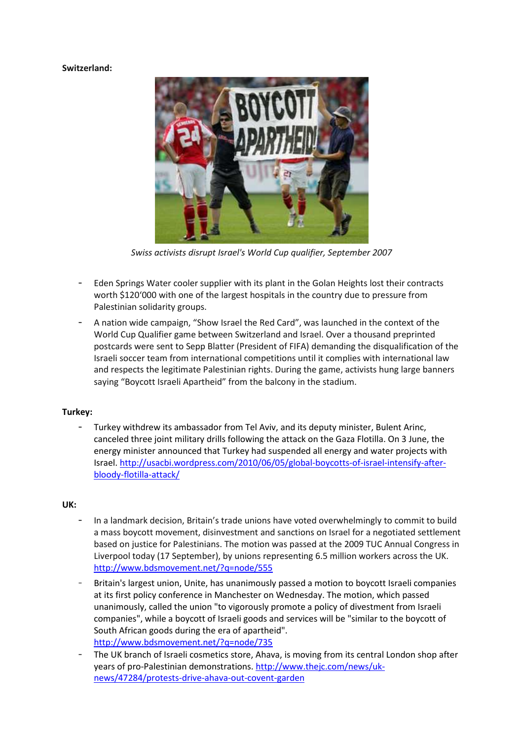# **Switzerland:**



*Swiss activists disrupt Israel's World Cup qualifier, September 2007* 

- Eden Springs Water cooler supplier with its plant in the Golan Heights lost their contracts worth \$120'000 with one of the largest hospitals in the country due to pressure from Palestinian solidarity groups.
- A nation wide campaign, "Show Israel the Red Card", was launched in the context of the World Cup Qualifier game between Switzerland and Israel. Over a thousand preprinted postcards were sent to Sepp Blatter (President of FIFA) demanding the disqualification of the Israeli soccer team from international competitions until it complies with international law and respects the legitimate Palestinian rights. During the game, activists hung large banners saying "Boycott Israeli Apartheid" from the balcony in the stadium.

# **Turkey:**

- Turkey withdrew its ambassador from Tel Aviv, and its deputy minister, Bulent Arinc, canceled three joint military drills following the attack on the Gaza Flotilla. On 3 June, the energy minister announced that Turkey had suspended all energy and water projects with Israel. http://usacbi.wordpress.com/2010/06/05/global-boycotts-of-israel-intensify-afterbloody-flotilla-attack/

## **UK:**

- In a landmark decision, Britain's trade unions have voted overwhelmingly to commit to build a mass boycott movement, disinvestment and sanctions on Israel for a negotiated settlement based on justice for Palestinians. The motion was passed at the 2009 TUC Annual Congress in Liverpool today (17 September), by unions representing 6.5 million workers across the UK. http://www.bdsmovement.net/?q=node/555
- Britain's largest union, Unite, has unanimously passed a motion to boycott Israeli companies at its first policy conference in Manchester on Wednesday. The motion, which passed unanimously, called the union "to vigorously promote a policy of divestment from Israeli companies", while a boycott of Israeli goods and services will be "similar to the boycott of South African goods during the era of apartheid". http://www.bdsmovement.net/?q=node/735
- The UK branch of Israeli cosmetics store, Ahava, is moving from its central London shop after years of pro-Palestinian demonstrations. http://www.thejc.com/news/uknews/47284/protests-drive-ahava-out-covent-garden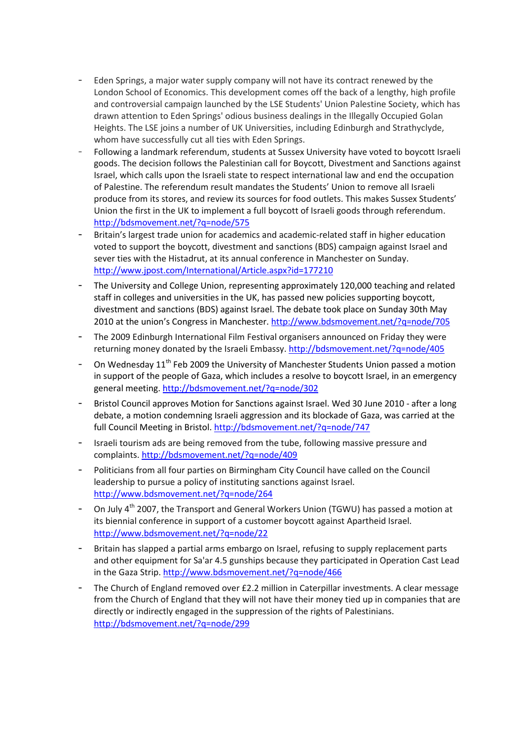- Eden Springs, a major water supply company will not have its contract renewed by the London School of Economics. This development comes off the back of a lengthy, high profile and controversial campaign launched by the LSE Students' Union Palestine Society, which has drawn attention to Eden Springs' odious business dealings in the Illegally Occupied Golan Heights. The LSE joins a number of UK Universities, including Edinburgh and Strathyclyde, whom have successfully cut all ties with Eden Springs.
- Following a landmark referendum, students at Sussex University have voted to boycott Israeli goods. The decision follows the Palestinian call for Boycott, Divestment and Sanctions against Israel, which calls upon the Israeli state to respect international law and end the occupation of Palestine. The referendum result mandates the Students' Union to remove all Israeli produce from its stores, and review its sources for food outlets. This makes Sussex Students' Union the first in the UK to implement a full boycott of Israeli goods through referendum. http://bdsmovement.net/?q=node/575
- Britain's largest trade union for academics and academic-related staff in higher education voted to support the boycott, divestment and sanctions (BDS) campaign against Israel and sever ties with the Histadrut, at its annual conference in Manchester on Sunday. http://www.jpost.com/International/Article.aspx?id=177210
- The University and College Union, representing approximately 120,000 teaching and related staff in colleges and universities in the UK, has passed new policies supporting boycott, divestment and sanctions (BDS) against Israel. The debate took place on Sunday 30th May 2010 at the union's Congress in Manchester. http://www.bdsmovement.net/?q=node/705
- The 2009 Edinburgh International Film Festival organisers announced on Friday they were returning money donated by the Israeli Embassy. http://bdsmovement.net/?q=node/405
- On Wednesday  $11<sup>th</sup>$  Feb 2009 the University of Manchester Students Union passed a motion in support of the people of Gaza, which includes a resolve to boycott Israel, in an emergency general meeting. http://bdsmovement.net/?q=node/302
- Bristol Council approves Motion for Sanctions against Israel. Wed 30 June 2010 after a long debate, a motion condemning Israeli aggression and its blockade of Gaza, was carried at the full Council Meeting in Bristol. http://bdsmovement.net/?q=node/747
- Israeli tourism ads are being removed from the tube, following massive pressure and complaints. http://bdsmovement.net/?q=node/409
- Politicians from all four parties on Birmingham City Council have called on the Council leadership to pursue a policy of instituting sanctions against Israel. http://www.bdsmovement.net/?q=node/264
- On July  $4^{th}$  2007, the Transport and General Workers Union (TGWU) has passed a motion at its biennial conference in support of a customer boycott against Apartheid Israel. http://www.bdsmovement.net/?q=node/22
- Britain has slapped a partial arms embargo on Israel, refusing to supply replacement parts and other equipment for Sa'ar 4.5 gunships because they participated in Operation Cast Lead in the Gaza Strip. http://www.bdsmovement.net/?q=node/466
- The Church of England removed over £2.2 million in Caterpillar investments. A clear message from the Church of England that they will not have their money tied up in companies that are directly or indirectly engaged in the suppression of the rights of Palestinians. http://bdsmovement.net/?q=node/299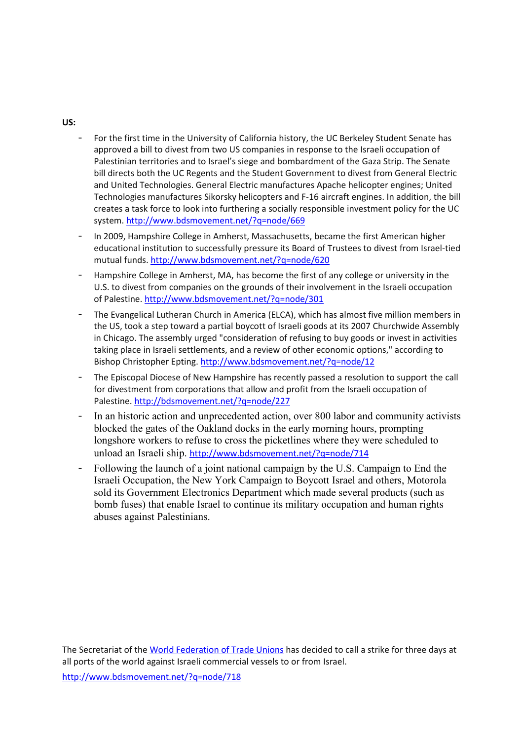# **US:**

- For the first time in the University of California history, the UC Berkeley Student Senate has approved a bill to divest from two US companies in response to the Israeli occupation of Palestinian territories and to Israel's siege and bombardment of the Gaza Strip. The Senate bill directs both the UC Regents and the Student Government to divest from General Electric and United Technologies. General Electric manufactures Apache helicopter engines; United Technologies manufactures Sikorsky helicopters and F-16 aircraft engines. In addition, the bill creates a task force to look into furthering a socially responsible investment policy for the UC system. http://www.bdsmovement.net/?q=node/669
- In 2009, Hampshire College in Amherst, Massachusetts, became the first American higher educational institution to successfully pressure its Board of Trustees to divest from Israel-tied mutual funds. http://www.bdsmovement.net/?q=node/620
- Hampshire College in Amherst, MA, has become the first of any college or university in the U.S. to divest from companies on the grounds of their involvement in the Israeli occupation of Palestine. http://www.bdsmovement.net/?q=node/301
- The Evangelical Lutheran Church in America (ELCA), which has almost five million members in the US, took a step toward a partial boycott of Israeli goods at its 2007 Churchwide Assembly in Chicago. The assembly urged "consideration of refusing to buy goods or invest in activities taking place in Israeli settlements, and a review of other economic options," according to Bishop Christopher Epting. http://www.bdsmovement.net/?q=node/12
- The Episcopal Diocese of New Hampshire has recently passed a resolution to support the call for divestment from corporations that allow and profit from the Israeli occupation of Palestine. http://bdsmovement.net/?q=node/227
- In an historic action and unprecedented action, over 800 labor and community activists blocked the gates of the Oakland docks in the early morning hours, prompting longshore workers to refuse to cross the picketlines where they were scheduled to unload an Israeli ship. http://www.bdsmovement.net/?q=node/714
- Following the launch of a joint national campaign by the U.S. Campaign to End the Israeli Occupation, the New York Campaign to Boycott Israel and others, Motorola sold its Government Electronics Department which made several products (such as bomb fuses) that enable Israel to continue its military occupation and human rights abuses against Palestinians.

The Secretariat of the World Federation of Trade Unions has decided to call a strike for three days at all ports of the world against Israeli commercial vessels to or from Israel.

http://www.bdsmovement.net/?q=node/718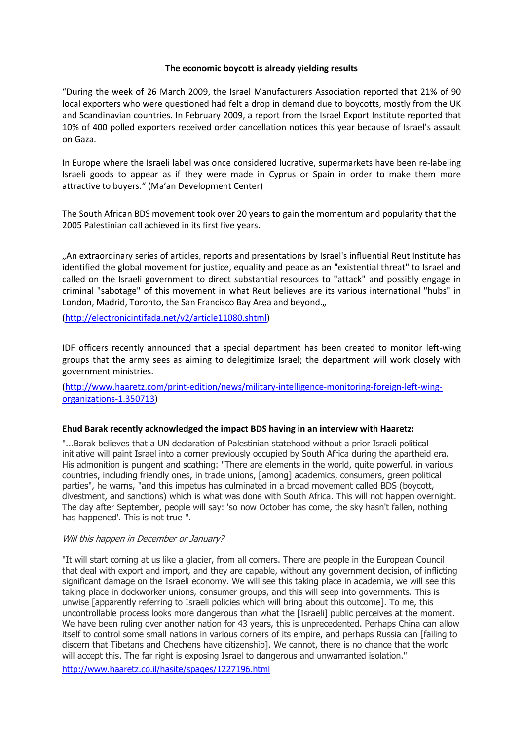#### **The economic boycott is already yielding results**

"During the week of 26 March 2009, the Israel Manufacturers Association reported that 21% of 90 local exporters who were questioned had felt a drop in demand due to boycotts, mostly from the UK and Scandinavian countries. In February 2009, a report from the Israel Export Institute reported that 10% of 400 polled exporters received order cancellation notices this year because of Israel's assault on Gaza.

In Europe where the Israeli label was once considered lucrative, supermarkets have been re-labeling Israeli goods to appear as if they were made in Cyprus or Spain in order to make them more attractive to buyers." (Ma'an Development Center)

The South African BDS movement took over 20 years to gain the momentum and popularity that the 2005 Palestinian call achieved in its first five years.

"An extraordinary series of articles, reports and presentations by Israel's influential Reut Institute has identified the global movement for justice, equality and peace as an "existential threat" to Israel and called on the Israeli government to direct substantial resources to "attack" and possibly engage in criminal "sabotage" of this movement in what Reut believes are its various international "hubs" in London, Madrid, Toronto, the San Francisco Bay Area and beyond.,

(http://electronicintifada.net/v2/article11080.shtml)

IDF officers recently announced that a special department has been created to monitor left-wing groups that the army sees as aiming to delegitimize Israel; the department will work closely with government ministries.

(http://www.haaretz.com/print-edition/news/military-intelligence-monitoring-foreign-left-wingorganizations-1.350713)

## **Ehud Barak recently acknowledged the impact BDS having in an interview with Haaretz:**

"...Barak believes that a UN declaration of Palestinian statehood without a prior Israeli political initiative will paint Israel into a corner previously occupied by South Africa during the apartheid era. His admonition is pungent and scathing: "There are elements in the world, quite powerful, in various countries, including friendly ones, in trade unions, [among] academics, consumers, green political parties", he warns, "and this impetus has culminated in a broad movement called BDS (boycott, divestment, and sanctions) which is what was done with South Africa. This will not happen overnight. The day after September, people will say: 'so now October has come, the sky hasn't fallen, nothing has happened'. This is not true ".

#### Will this happen in December or January?

"It will start coming at us like a glacier, from all corners. There are people in the European Council that deal with export and import, and they are capable, without any government decision, of inflicting significant damage on the Israeli economy. We will see this taking place in academia, we will see this taking place in dockworker unions, consumer groups, and this will seep into governments. This is unwise [apparently referring to Israeli policies which will bring about this outcome]. To me, this uncontrollable process looks more dangerous than what the [Israeli] public perceives at the moment. We have been ruling over another nation for 43 years, this is unprecedented. Perhaps China can allow itself to control some small nations in various corners of its empire, and perhaps Russia can [failing to discern that Tibetans and Chechens have citizenship]. We cannot, there is no chance that the world will accept this. The far right is exposing Israel to dangerous and unwarranted isolation."

http://www.haaretz.co.il/hasite/spages/1227196.html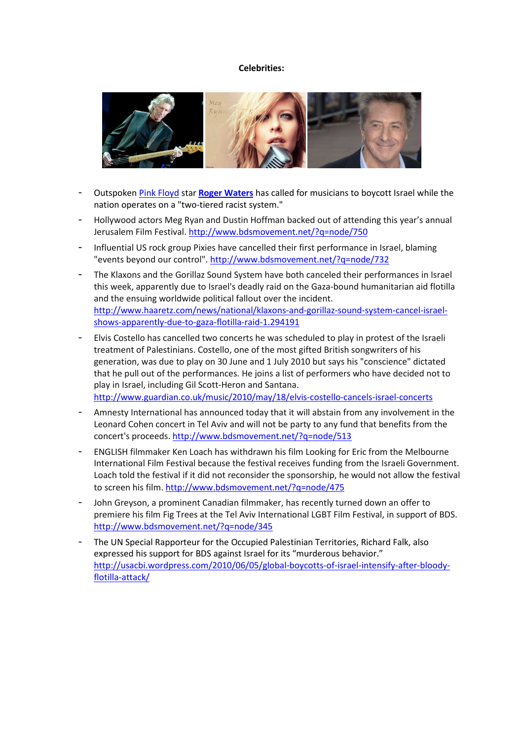#### **Celebrities:**



- Outspoken Pink Floyd star **Roger Waters** has called for musicians to boycott Israel while the nation operates on a "two-tiered racist system."
- Hollywood actors Meg Ryan and Dustin Hoffman backed out of attending this year's annual Jerusalem Film Festival. http://www.bdsmovement.net/?q=node/750
- Influential US rock group Pixies have cancelled their first performance in Israel, blaming "events beyond our control". http://www.bdsmovement.net/?q=node/732
- The Klaxons and the Gorillaz Sound System have both canceled their performances in Israel this week, apparently due to Israel's deadly raid on the Gaza-bound humanitarian aid flotilla and the ensuing worldwide political fallout over the incident. http://www.haaretz.com/news/national/klaxons-and-gorillaz-sound-system-cancel-israelshows-apparently-due-to-gaza-flotilla-raid-1.294191
- Elvis Costello has cancelled two concerts he was scheduled to play in protest of the Israeli treatment of Palestinians. Costello, one of the most gifted British songwriters of his generation, was due to play on 30 June and 1 July 2010 but says his "conscience" dictated that he pull out of the performances. He joins a list of performers who have decided not to play in Israel, including Gil Scott-Heron and Santana. http://www.guardian.co.uk/music/2010/may/18/elvis-costello-cancels-israel-concerts
- Amnesty International has announced today that it will abstain from any involvement in the Leonard Cohen concert in Tel Aviv and will not be party to any fund that benefits from the concert's proceeds. http://www.bdsmovement.net/?q=node/513
- ENGLISH filmmaker Ken Loach has withdrawn his film Looking for Eric from the Melbourne International Film Festival because the festival receives funding from the Israeli Government. Loach told the festival if it did not reconsider the sponsorship, he would not allow the festival to screen his film. http://www.bdsmovement.net/?q=node/475
- John Greyson, a prominent Canadian filmmaker, has recently turned down an offer to premiere his film Fig Trees at the Tel Aviv International LGBT Film Festival, in support of BDS. http://www.bdsmovement.net/?q=node/345
- The UN Special Rapporteur for the Occupied Palestinian Territories, Richard Falk, also expressed his support for BDS against Israel for its "murderous behavior." http://usacbi.wordpress.com/2010/06/05/global-boycotts-of-israel-intensify-after-bloodyflotilla-attack/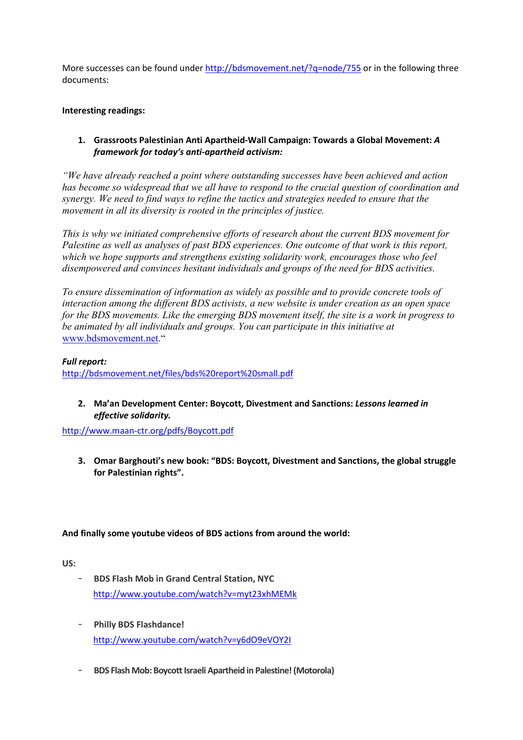More successes can be found under http://bdsmovement.net/?q=node/755 or in the following three documents:

# **Interesting readings:**

# **1. Grassroots Palestinian Anti Apartheid-Wall Campaign: Towards a Global Movement:** *A framework for today's anti-apartheid activism:*

*"We have already reached a point where outstanding successes have been achieved and action has become so widespread that we all have to respond to the crucial question of coordination and synergy. We need to find ways to refine the tactics and strategies needed to ensure that the movement in all its diversity is rooted in the principles of justice.* 

*This is why we initiated comprehensive efforts of research about the current BDS movement for Palestine as well as analyses of past BDS experiences. One outcome of that work is this report, which we hope supports and strengthens existing solidarity work, encourages those who feel disempowered and convinces hesitant individuals and groups of the need for BDS activities.* 

*To ensure dissemination of information as widely as possible and to provide concrete tools of interaction among the different BDS activists, a new website is under creation as an open space for the BDS movements. Like the emerging BDS movement itself, the site is a work in progress to be animated by all individuals and groups. You can participate in this initiative at* www.bdsmovement.net."

*Full report:*  http://bdsmovement.net/files/bds%20report%20small.pdf

**2. Ma'an Development Center: Boycott, Divestment and Sanctions:** *Lessons learned in effective solidarity.* 

http://www.maan-ctr.org/pdfs/Boycott.pdf

**3. Omar Barghouti's new book: "BDS: Boycott, Divestment and Sanctions, the global struggle for Palestinian rights".** 

# **And finally some youtube videos of BDS actions from around the world:**

**US:** 

- **BDS Flash Mob in Grand Central Station, NYC**  http://www.youtube.com/watch?v=myt23xhMEMk
- **Philly BDS Flashdance!**  http://www.youtube.com/watch?v=y6dO9eVOY2I
- **BDS Flash Mob: Boycott Israeli Apartheid in Palestine! (Motorola)**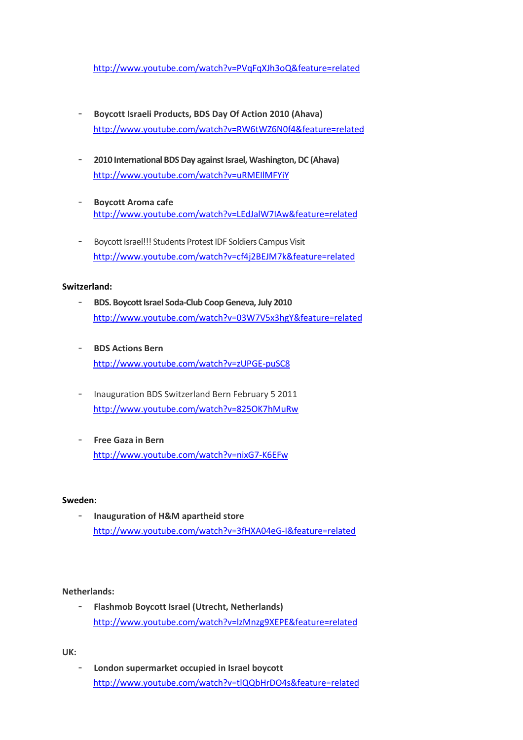http://www.youtube.com/watch?v=PVqFqXJh3oQ&feature=related

- **Boycott Israeli Products, BDS Day Of Action 2010 (Ahava)**  http://www.youtube.com/watch?v=RW6tWZ6N0f4&feature=related
- **2010 International BDS Day against Israel, Washington, DC (Ahava)**  http://www.youtube.com/watch?v=uRMEIlMFYiY
- **Boycott Aroma cafe**  http://www.youtube.com/watch?v=LEdJalW7IAw&feature=related
- Boycott Israel!!! Students Protest IDF Soldiers Campus Visit http://www.youtube.com/watch?v=cf4j2BEJM7k&feature=related

## **Switzerland:**

- **BDS. Boycott Israel Soda-Club Coop Geneva, July 2010**  http://www.youtube.com/watch?v=03W7V5x3hgY&feature=related
- **BDS Actions Bern**  http://www.youtube.com/watch?v=zUPGE-puSC8
- Inauguration BDS Switzerland Bern February 5 2011 http://www.youtube.com/watch?v=825OK7hMuRw
- **Free Gaza in Bern**  http://www.youtube.com/watch?v=nixG7-K6EFw

## **Sweden:**

- **Inauguration of H&M apartheid store**  http://www.youtube.com/watch?v=3fHXA04eG-I&feature=related

# **Netherlands:**

- **Flashmob Boycott Israel (Utrecht, Netherlands)**  http://www.youtube.com/watch?v=lzMnzg9XEPE&feature=related

**UK:** 

- **London supermarket occupied in Israel boycott**  http://www.youtube.com/watch?v=tlQQbHrDO4s&feature=related